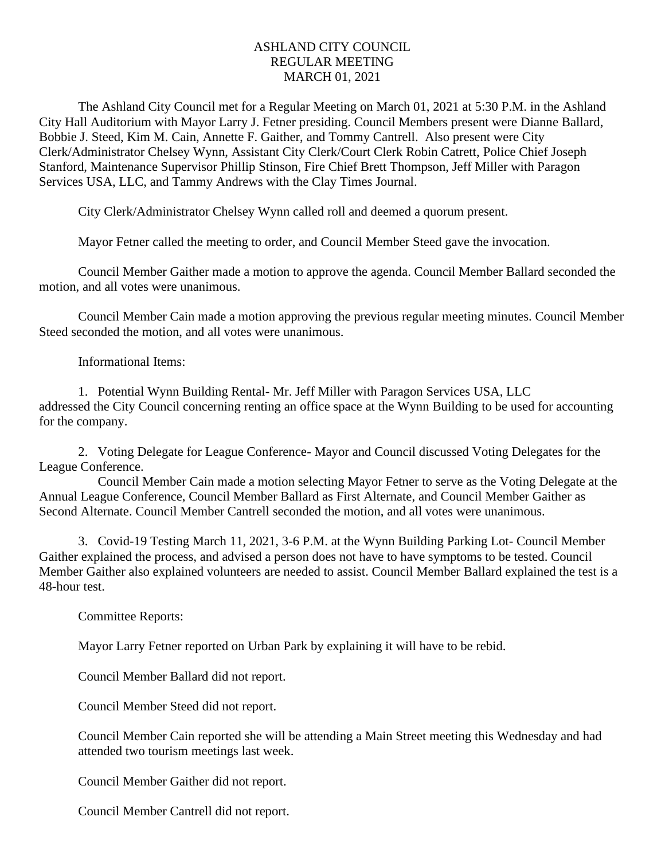## ASHLAND CITY COUNCIL REGULAR MEETING MARCH 01, 2021

The Ashland City Council met for a Regular Meeting on March 01, 2021 at 5:30 P.M. in the Ashland City Hall Auditorium with Mayor Larry J. Fetner presiding. Council Members present were Dianne Ballard, Bobbie J. Steed, Kim M. Cain, Annette F. Gaither, and Tommy Cantrell. Also present were City Clerk/Administrator Chelsey Wynn, Assistant City Clerk/Court Clerk Robin Catrett, Police Chief Joseph Stanford, Maintenance Supervisor Phillip Stinson, Fire Chief Brett Thompson, Jeff Miller with Paragon Services USA, LLC, and Tammy Andrews with the Clay Times Journal.

City Clerk/Administrator Chelsey Wynn called roll and deemed a quorum present.

Mayor Fetner called the meeting to order, and Council Member Steed gave the invocation.

Council Member Gaither made a motion to approve the agenda. Council Member Ballard seconded the motion, and all votes were unanimous.

Council Member Cain made a motion approving the previous regular meeting minutes. Council Member Steed seconded the motion, and all votes were unanimous.

Informational Items:

1. Potential Wynn Building Rental- Mr. Jeff Miller with Paragon Services USA, LLC addressed the City Council concerning renting an office space at the Wynn Building to be used for accounting for the company.

2. Voting Delegate for League Conference- Mayor and Council discussed Voting Delegates for the League Conference.

 Council Member Cain made a motion selecting Mayor Fetner to serve as the Voting Delegate at the Annual League Conference, Council Member Ballard as First Alternate, and Council Member Gaither as Second Alternate. Council Member Cantrell seconded the motion, and all votes were unanimous.

3. Covid-19 Testing March 11, 2021, 3-6 P.M. at the Wynn Building Parking Lot- Council Member Gaither explained the process, and advised a person does not have to have symptoms to be tested. Council Member Gaither also explained volunteers are needed to assist. Council Member Ballard explained the test is a 48-hour test.

Committee Reports:

Mayor Larry Fetner reported on Urban Park by explaining it will have to be rebid.

Council Member Ballard did not report.

Council Member Steed did not report.

Council Member Cain reported she will be attending a Main Street meeting this Wednesday and had attended two tourism meetings last week.

Council Member Gaither did not report.

Council Member Cantrell did not report.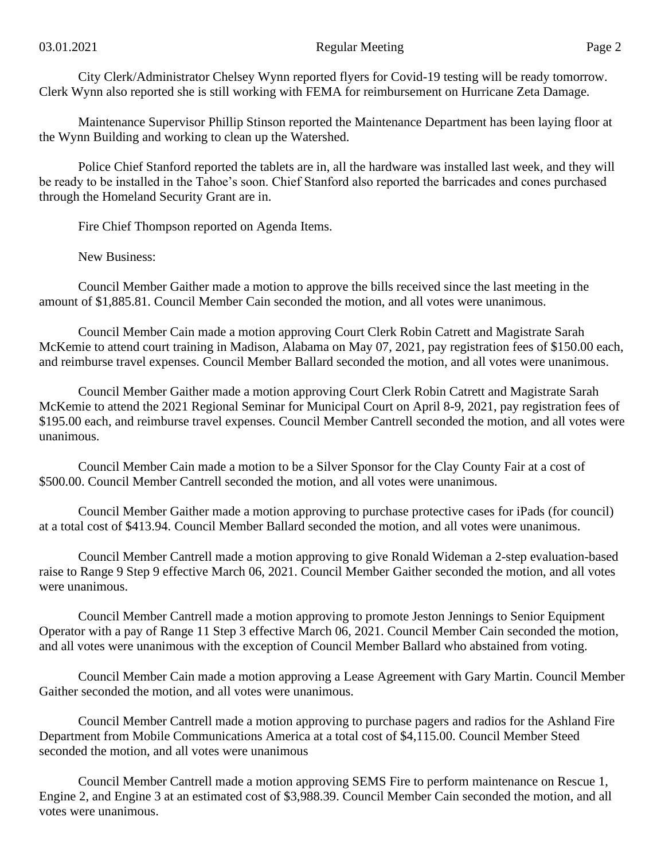City Clerk/Administrator Chelsey Wynn reported flyers for Covid-19 testing will be ready tomorrow. Clerk Wynn also reported she is still working with FEMA for reimbursement on Hurricane Zeta Damage.

Maintenance Supervisor Phillip Stinson reported the Maintenance Department has been laying floor at the Wynn Building and working to clean up the Watershed.

Police Chief Stanford reported the tablets are in, all the hardware was installed last week, and they will be ready to be installed in the Tahoe's soon. Chief Stanford also reported the barricades and cones purchased through the Homeland Security Grant are in.

Fire Chief Thompson reported on Agenda Items.

New Business:

Council Member Gaither made a motion to approve the bills received since the last meeting in the amount of \$1,885.81. Council Member Cain seconded the motion, and all votes were unanimous.

Council Member Cain made a motion approving Court Clerk Robin Catrett and Magistrate Sarah McKemie to attend court training in Madison, Alabama on May 07, 2021, pay registration fees of \$150.00 each, and reimburse travel expenses. Council Member Ballard seconded the motion, and all votes were unanimous.

Council Member Gaither made a motion approving Court Clerk Robin Catrett and Magistrate Sarah McKemie to attend the 2021 Regional Seminar for Municipal Court on April 8-9, 2021, pay registration fees of \$195.00 each, and reimburse travel expenses. Council Member Cantrell seconded the motion, and all votes were unanimous.

Council Member Cain made a motion to be a Silver Sponsor for the Clay County Fair at a cost of \$500.00. Council Member Cantrell seconded the motion, and all votes were unanimous.

Council Member Gaither made a motion approving to purchase protective cases for iPads (for council) at a total cost of \$413.94. Council Member Ballard seconded the motion, and all votes were unanimous.

Council Member Cantrell made a motion approving to give Ronald Wideman a 2-step evaluation-based raise to Range 9 Step 9 effective March 06, 2021. Council Member Gaither seconded the motion, and all votes were unanimous.

Council Member Cantrell made a motion approving to promote Jeston Jennings to Senior Equipment Operator with a pay of Range 11 Step 3 effective March 06, 2021. Council Member Cain seconded the motion, and all votes were unanimous with the exception of Council Member Ballard who abstained from voting.

Council Member Cain made a motion approving a Lease Agreement with Gary Martin. Council Member Gaither seconded the motion, and all votes were unanimous.

Council Member Cantrell made a motion approving to purchase pagers and radios for the Ashland Fire Department from Mobile Communications America at a total cost of \$4,115.00. Council Member Steed seconded the motion, and all votes were unanimous

Council Member Cantrell made a motion approving SEMS Fire to perform maintenance on Rescue 1, Engine 2, and Engine 3 at an estimated cost of \$3,988.39. Council Member Cain seconded the motion, and all votes were unanimous.